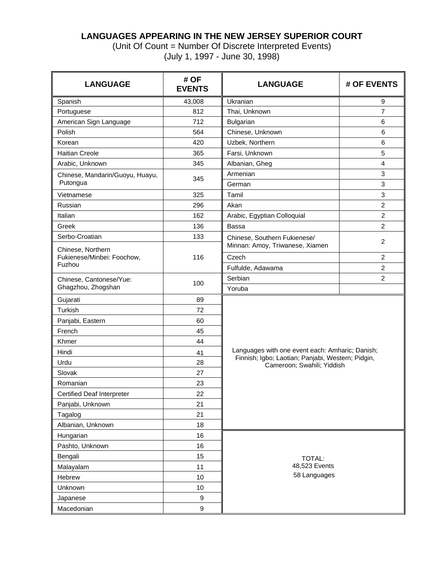## **LANGUAGES APPEARING IN THE NEW JERSEY SUPERIOR COURT**

(Unit Of Count = Number Of Discrete Interpreted Events) (July 1, 1997 - June 30, 1998)

| <b>LANGUAGE</b>                                 | # OF<br><b>EVENTS</b> | <b>LANGUAGE</b>                                                 | # OF EVENTS         |  |  |
|-------------------------------------------------|-----------------------|-----------------------------------------------------------------|---------------------|--|--|
| Spanish                                         | 43,008                | Ukranian                                                        | 9                   |  |  |
| Portuguese                                      | 812                   | Thai, Unknown                                                   | $\overline{7}$      |  |  |
| American Sign Language                          | 712                   | <b>Bulgarian</b>                                                | 6                   |  |  |
| Polish                                          | 564                   | Chinese, Unknown                                                | 6                   |  |  |
| Korean                                          | 420                   | Uzbek, Northern                                                 | 6                   |  |  |
| <b>Haitian Creole</b>                           | 365                   | Farsi, Unknown                                                  | 5                   |  |  |
| Arabic, Unknown                                 | 345                   | Albanian, Gheg                                                  | 4                   |  |  |
| Chinese, Mandarin/Guoyu, Huayu,<br>Putongua     | 345                   | Armenian<br>German                                              | 3<br>$\mathfrak{S}$ |  |  |
| Vietnamese                                      | 325                   | Tamil                                                           | 3                   |  |  |
| Russian                                         | 296                   | Akan                                                            | $\overline{c}$      |  |  |
| Italian                                         | 162                   | Arabic, Egyptian Colloquial                                     | $\overline{c}$      |  |  |
| Greek                                           | 136                   | Bassa                                                           | $\overline{2}$      |  |  |
| Serbo-Croatian                                  | 133                   | Chinese, Southern Fukienese/<br>Minnan: Amoy, Triwanese, Xiamen | $\overline{c}$      |  |  |
| Chinese, Northern<br>Fukienese/Minbei: Foochow, | 116                   | Czech                                                           | $\overline{2}$      |  |  |
| Fuzhou                                          |                       | Fulfulde, Adawama                                               | $\overline{c}$      |  |  |
| Chinese, Cantonese/Yue:<br>Ghagzhou, Zhogshan   | 100                   | Serbian<br>Yoruba                                               | $\overline{2}$      |  |  |
| Gujarati                                        | 89                    |                                                                 |                     |  |  |
| Turkish                                         | 72                    |                                                                 |                     |  |  |
| Panjabi, Eastern                                | 60                    |                                                                 |                     |  |  |
| French                                          | 45                    |                                                                 |                     |  |  |
| Khmer                                           | 44                    |                                                                 |                     |  |  |
| Hindi                                           | 41                    | Languages with one event each: Amharic; Danish;                 |                     |  |  |
| Urdu                                            | 28                    | Finnish; Igbo; Laotian; Panjabi, Western; Pidgin,               |                     |  |  |
| Slovak                                          | 27                    | Cameroon; Swahili; Yiddish                                      |                     |  |  |
| Romanian                                        | 23                    |                                                                 |                     |  |  |
| <b>Certified Deaf Interpreter</b>               | 22                    |                                                                 |                     |  |  |
| Panjabi, Unknown                                | 21                    |                                                                 |                     |  |  |
| Tagalog                                         | 21                    |                                                                 |                     |  |  |
| Albanian, Unknown                               | 18                    |                                                                 |                     |  |  |
| Hungarian                                       | 16                    |                                                                 |                     |  |  |
| Pashto, Unknown                                 | 16                    |                                                                 |                     |  |  |
| Bengali                                         | 15                    | TOTAL:                                                          |                     |  |  |
| Malayalam                                       | 11                    | 48,523 Events                                                   |                     |  |  |
| Hebrew                                          | 10                    | 58 Languages                                                    |                     |  |  |
| Unknown                                         | 10                    |                                                                 |                     |  |  |
| Japanese                                        | 9                     |                                                                 |                     |  |  |
| Macedonian                                      | 9                     |                                                                 |                     |  |  |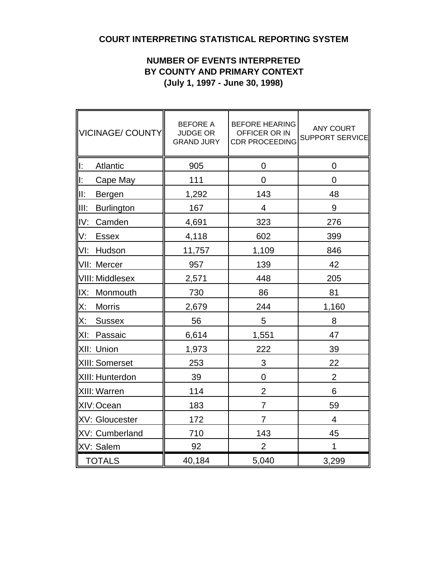# **COURT INTERPRETING STATISTICAL REPORTING SYSTEM**

# **NUMBER OF EVENTS INTERPRETED BY COUNTY AND PRIMARY CONTEXT (July 1, 1997 - June 30, 1998)**

| VICINAGE/ COUNTY          | <b>BEFORE A</b><br><b>JUDGE OR</b><br><b>GRAND JURY</b> | <b>BEFORE HEARING</b><br>OFFICER OR IN<br><b>CDR PROCEEDING</b> | <b>ANY COURT</b><br><b>SUPPORT SERVICE</b> |
|---------------------------|---------------------------------------------------------|-----------------------------------------------------------------|--------------------------------------------|
| lE.<br>Atlantic           | 905                                                     | 0                                                               | 0                                          |
| Ŀ.<br>Cape May            | 111                                                     | 0                                                               | $\mathbf 0$                                |
| III:<br>Bergen            | 1,292                                                   | 143                                                             | 48                                         |
| III:<br><b>Burlington</b> | 167                                                     | 4                                                               | 9                                          |
| IV:<br>Camden             | 4,691                                                   | 323                                                             | 276                                        |
| V.<br><b>Essex</b>        | 4,118                                                   | 602                                                             | 399                                        |
| VI:<br>Hudson             | 11,757                                                  | 1,109                                                           | 846                                        |
| VII: Mercer               | 957                                                     | 139                                                             | 42                                         |
| <b>VIII: Middlesex</b>    | 2,571                                                   | 448                                                             | 205                                        |
| IX:<br>Monmouth           | 730                                                     | 86                                                              | 81                                         |
| <b>Morris</b><br>Х.       | 2,679                                                   | 244                                                             | 1,160                                      |
| <b>Sussex</b><br>Х.       | 56                                                      | 5                                                               | 8                                          |
| XI: Passaic               | 6,614                                                   | 1,551                                                           | 47                                         |
| XII: Union                | 1,973                                                   | 222                                                             | 39                                         |
| XIII: Somerset            | 253                                                     | 3                                                               | 22                                         |
| XIII: Hunterdon           | 39                                                      | $\mathbf 0$                                                     | $\overline{2}$                             |
| XIII: Warren              | 114                                                     | $\overline{2}$                                                  | 6                                          |
| XIV: Ocean                | 183                                                     | $\overline{7}$                                                  | 59                                         |
| XV: Gloucester            | 172                                                     | $\overline{7}$                                                  | $\overline{4}$                             |
| XV: Cumberland            | 710                                                     | 143                                                             | 45                                         |
| XV: Salem                 | 92                                                      | $\overline{2}$                                                  | 1                                          |
| <b>TOTALS</b>             | 40,184                                                  | 5,040                                                           | 3,299                                      |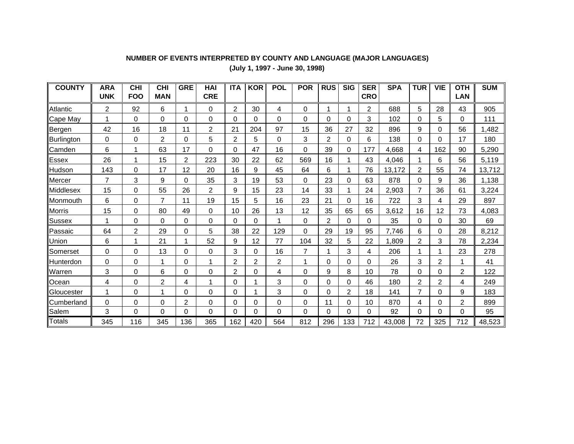### **NUMBER OF EVENTS INTERPRETED BY COUNTY AND LANGUAGE (MAJOR LANGUAGES)**

**(July 1, 1997 - June 30, 1998)**

| <b>COUNTY</b>     | <b>ARA</b>     | <b>CHI</b>  | <b>CHI</b>     | <b>GRE</b> | <b>HAI</b>     | <b>ITA</b>     | <b>KOR</b> | <b>POL</b> | <b>POR</b>     | <b>RUS</b>     | <b>SIG</b> | <b>SER</b> | <b>SPA</b> | <b>TUR</b> | <b>VIE</b> | <b>OTH</b>     | <b>SUM</b> |
|-------------------|----------------|-------------|----------------|------------|----------------|----------------|------------|------------|----------------|----------------|------------|------------|------------|------------|------------|----------------|------------|
|                   | <b>UNK</b>     | <b>FOO</b>  | <b>MAN</b>     |            | <b>CRE</b>     |                |            |            |                |                |            | <b>CRO</b> |            |            |            | <b>LAN</b>     |            |
| Atlantic          | $\overline{2}$ | 92          | 6              | 1          | 0              | $\overline{2}$ | 30         | 4          | 0              |                |            | 2          | 688        | 5          | 28         | 43             | 905        |
| Cape May          | 1              | 0           | $\Omega$       | 0          | 0              | $\Omega$       | 0          | 0          | 0              | 0              | 0          | 3          | 102        | 0          | 5          | 0              | 111        |
| Bergen            | 42             | 16          | 18             | 11         | $\overline{2}$ | 21             | 204        | 97         | 15             | 36             | 27         | 32         | 896        | 9          | 0          | 56             | 1,482      |
| Burlington        | 0              | 0           | $\overline{2}$ | 0          | 5              | $\overline{2}$ | 5          | 0          | 3              | $\overline{2}$ | $\Omega$   | 6          | 138        | 0          | 0          | 17             | 180        |
| <b>Camden</b>     | 6              | 1           | 63             | 17         | 0              | 0              | 47         | 16         | 0              | 39             | $\Omega$   | 177        | 4,668      | 4          | 162        | 90             | 5,290      |
| Essex             | 26             | 1           | 15             | 2          | 223            | 30             | 22         | 62         | 569            | 16             |            | 43         | 4,046      |            | 6          | 56             | 5,119      |
| Hudson            | 143            | 0           | 17             | 12         | 20             | 16             | 9          | 45         | 64             | 6              |            | 76         | 13,172     | 2          | 55         | 74             | 13,712     |
| Mercer            | 7              | 3           | 9              | $\Omega$   | 35             | 3              | 19         | 53         | 0              | 23             | $\Omega$   | 63         | 878        | 0          | 9          | 36             | 1,138      |
| llMiddlesex       | 15             | 0           | 55             | 26         | $\overline{2}$ | 9              | 15         | 23         | 14             | 33             |            | 24         | 2,903      | 7          | 36         | 61             | 3,224      |
| llMonmouth        | 6              | $\mathbf 0$ | 7              | 11         | 19             | 15             | 5          | 16         | 23             | 21             | $\Omega$   | 16         | 722        | 3          | 4          | 29             | 897        |
| <b>IMorris</b>    | 15             | 0           | 80             | 49         | 0              | 10             | 26         | 13         | 12             | 35             | 65         | 65         | 3,612      | 16         | 12         | 73             | 4,083      |
| Sussex            | 1              | 0           | $\Omega$       | 0          | 0              | $\Omega$       | 0          |            | 0              | 2              | $\Omega$   | $\Omega$   | 35         | $\Omega$   | 0          | 30             | 69         |
| Passaic           | 64             | 2           | 29             | 0          | 5              | 38             | 22         | 129        | 0              | 29             | 19         | 95         | 7,746      | 6          | 0          | 28             | 8,212      |
| Union             | 6              | 1           | 21             |            | 52             | 9              | 12         | 77         | 104            | 32             | 5          | 22         | 1.809      | 2          | 3          | 78             | 2,234      |
| Somerset          | 0              | $\mathbf 0$ | 13             | 0          | 0              | 3              | 0          | 16         | $\overline{7}$ |                | 3          | 4          | 206        |            | 1          | 23             | 278        |
| llHunterdon       | 0              | $\mathbf 0$ |                | $\Omega$   |                | $\overline{2}$ | 2          | 2          | 1              | 0              | $\Omega$   | $\Omega$   | 26         | 3          | 2          | 1              | 41         |
| Warren            | 3              | 0           | 6              | 0          | 0              | $\overline{2}$ | 0          | 4          | 0              | 9              | 8          | 10         | 78         | $\Omega$   | 0          | 2              | 122        |
| Ocean             | 4              | $\mathbf 0$ | 2              | 4          | 1              | 0              | 1          | 3          | 0              | 0              | 0          | 46         | 180        | 2          | 2          | 4              | 249        |
| <b>Gloucester</b> | 1              | 0           | 1              | 0          | 0              | 0              | 1          | 3          | 0              | 0              | 2          | 18         | 141        | 7          | 0          | 9              | 183        |
| Cumberland        | 0              | $\mathbf 0$ | 0              | 2          | 0              | 0              | 0          | 0          | 0              | 11             | 0          | 10         | 870        | 4          | 0          | $\overline{2}$ | 899        |
| Salem             | 3              | 0           | $\Omega$       | $\Omega$   | $\Omega$       | $\Omega$       | 0          | $\Omega$   | 0              | 0              | $\Omega$   | $\Omega$   | 92         | 0          | 0          | $\Omega$       | 95         |
| Totals            | 345            | 116         | 345            | 136        | 365            | 162            | 420        | 564        | 812            | 296            | 133        | 712        | 43,008     | 72         | 325        | 712            | 48,523     |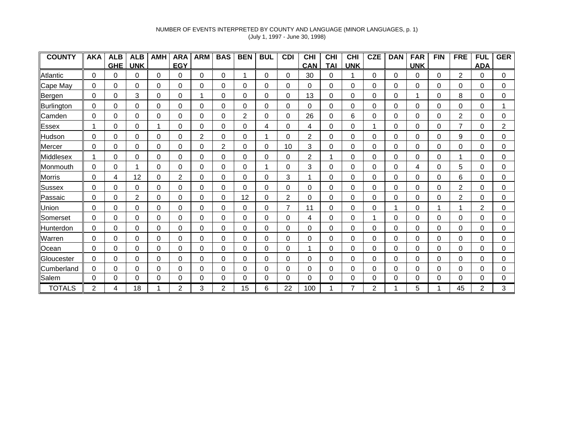### NUMBER OF EVENTS INTERPRETED BY COUNTY AND LANGUAGE (MINOR LANGUAGES, p. 1) (July 1, 1997 - June 30, 1998)

| <b>COUNTY</b> | <b>AKA</b> | <b>ALB</b> | <b>ALB</b> | <b>AMH</b> | <b>ARA</b>     | <b>ARM</b> | <b>BAS</b>     | <b>BEN</b>     | <b>BUL</b> | <b>CDI</b>     | <b>CHI</b>     | <b>CHI</b> | <b>CHI</b> | <b>CZE</b> | <b>DAN</b> | <b>FAR</b> | <b>FIN</b> | <b>FRE</b>     | <b>FUL</b> | <b>GER</b> |
|---------------|------------|------------|------------|------------|----------------|------------|----------------|----------------|------------|----------------|----------------|------------|------------|------------|------------|------------|------------|----------------|------------|------------|
|               |            | <b>GHE</b> | <b>UNK</b> |            | <b>EGY</b>     |            |                |                |            |                | <b>CAN</b>     | <b>TAI</b> | <b>UNK</b> |            |            | <b>UNK</b> |            |                | <b>ADA</b> |            |
| Atlantic      | $\Omega$   | 0          | 0          | 0          | 0              | 0          | 0              | 4              | $\Omega$   | 0              | 30             | 0          |            | 0          | 0          | 0          | 0          | $\overline{2}$ | 0          | 0          |
| Cape May      | 0          | 0          | 0          | 0          | 0              | 0          | 0              | 0              | 0          | 0              | 0              | 0          | 0          | 0          | 0          | 0          | 0          | 0              | 0          | $\Omega$   |
| Bergen        | $\Omega$   | 0          | 3          | 0          | 0              |            | 0              | 0              | 0          | 0              | 13             | 0          | 0          | 0          | 0          |            | 0          | 8              | 0          | 0          |
| Burlington    | $\Omega$   | 0          | 0          | $\Omega$   | 0              | $\Omega$   | $\Omega$       | $\Omega$       | 0          | 0              | $\Omega$       | 0          | 0          | 0          | 0          | 0          | 0          | 0              | 0          |            |
| Camden        | 0          | 0          | $\Omega$   | 0          | 0              | 0          | 0              | $\overline{2}$ | $\Omega$   | 0              | 26             | 0          | 6          | $\Omega$   | 0          | 0          | $\Omega$   | $\overline{2}$ | 0          | 0          |
| Essex         | 1          | 0          | 0          | 1          | 0              | 0          | 0              | 0              | 4          | 0              | 4              | 0          | 0          | 1          | 0          | 0          | 0          | $\overline{7}$ | 0          | 2          |
| Hudson        | $\Omega$   | 0          | 0          | 0          | 0              | 2          | 0              | 0              |            | 0              | $\overline{2}$ | 0          | 0          | 0          | 0          | 0          | 0          | 9              | 0          | 0          |
| Mercer        | 0          | 0          | $\Omega$   | 0          | 0              | $\Omega$   | $\overline{2}$ | 0              | 0          | 10             | 3              | 0          | 0          | 0          | 0          | 0          | 0          | 0              | $\Omega$   | 0          |
| Middlesex     | 1          | 0          | 0          | 0          | 0              | 0          | 0              | 0              | $\Omega$   | 0              | $\overline{c}$ |            | $\Omega$   | 0          | 0          | 0          | 0          | 1              | 0          | 0          |
| Monmouth      | $\Omega$   | 0          |            | 0          | 0              | 0          | 0              | 0              |            | 0              | 3              | 0          | $\Omega$   | $\Omega$   | 0          | 4          | $\Omega$   | 5              | 0          | 0          |
| <b>Morris</b> | 0          | 4          | 12         | 0          | $\overline{2}$ | $\Omega$   | 0              | $\mathbf 0$    | $\Omega$   | 3              |                | 0          | $\Omega$   | $\Omega$   | 0          | $\Omega$   | $\Omega$   | 6              | $\Omega$   | 0          |
| Sussex        | 0          | 0          | 0          | 0          | 0              | 0          | 0              | 0              | 0          | 0              | 0              | 0          | 0          | 0          | 0          | 0          | 0          | $\overline{2}$ | 0          | 0          |
| Passaic       | $\Omega$   | 0          | 2          | 0          | 0              | 0          | 0              | 12             | 0          | $\overline{2}$ | 0              | 0          | 0          | 0          | 0          | 0          | 0          | $\overline{2}$ | 0          | 0          |
| Union         | 0          | 0          | $\Omega$   | 0          | 0              | $\Omega$   | 0              | $\mathbf 0$    | $\Omega$   | 7              | 11             | 0          | $\Omega$   | 0          |            | 0          |            | 1              | 2          | 0          |
| Somerset      | 0          | 0          | 0          | 0          | 0              | 0          | 0              | 0              | 0          | 0              | 4              | 0          | 0          | 1          | 0          | 0          | 0          | 0              | $\Omega$   | 0          |
| Hunterdon     | 0          | 0          | $\Omega$   | 0          | 0              | $\Omega$   | 0              | 0              | $\Omega$   | 0              | $\Omega$       | 0          | $\Omega$   | 0          | 0          | 0          | $\Omega$   | 0              | $\Omega$   | 0          |
| Warren        | 0          | 0          | 0          | $\Omega$   | 0              | $\Omega$   | 0              | $\mathbf 0$    | $\Omega$   | 0              | 0              | 0          | $\Omega$   | $\Omega$   | 0          | $\Omega$   | $\Omega$   | 0              | $\Omega$   | 0          |
| Ocean         | $\Omega$   | 0          | 0          | 0          | 0              | 0          | 0              | $\mathbf 0$    | $\Omega$   | 0              |                | 0          | 0          | $\Omega$   | 0          | 0          | 0          | 0              | 0          | 0          |
| Gloucester    | 0          | 0          | 0          | 0          | 0              | 0          | 0              | 0              | 0          | 0              | 0              | 0          | 0          | 0          | 0          | 0          | 0          | 0              | 0          | 0          |
| Cumberland    | 0          | 0          | 0          | 0          | 0              | 0          | 0              | 0              | 0          | 0              | 0              | 0          | 0          | 0          | 0          | 0          | 0          | 0              | 0          | 0          |
| Salem         | 0          | 0          | 0          | 0          | 0              | $\Omega$   | 0              | 0              | 0          | 0              | 0              | 0          | 0          | 0          | 0          | 0          | $\Omega$   | 0              | 0          | 0          |
| <b>TOTALS</b> | 2          | 4          | 18         |            | 2              | 3          | 2              | 15             | 6          | 22             | 100            |            |            | 2          |            | 5          |            | 45             | 2          | 3          |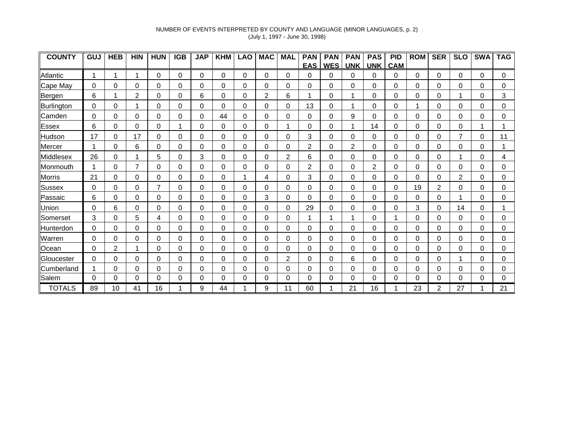### NUMBER OF EVENTS INTERPRETED BY COUNTY AND LANGUAGE (MINOR LANGUAGES, p. 2) (July 1, 1997 - June 30, 1998)

| <b>COUNTY</b>   | GUJ | <b>HEB</b> | <b>HIN</b> | <b>HUN</b> | <b>IGB</b> | <b>JAP</b> | <b>KHM</b> | <b>LAO</b> | <b>MAC</b>     | <b>MAL</b> | <b>PAN</b>     | <b>PAN</b> | <b>PAN</b> | <b>PAS</b> | <b>PID</b> | <b>ROM</b> | <b>SER</b>     | <b>SLO</b>     | <b>SWA</b> | <b>TAG</b> |
|-----------------|-----|------------|------------|------------|------------|------------|------------|------------|----------------|------------|----------------|------------|------------|------------|------------|------------|----------------|----------------|------------|------------|
|                 |     |            |            |            |            |            |            |            |                |            | <b>EAS</b>     | <b>WES</b> | <b>UNK</b> | <b>UNK</b> | CAM        |            |                |                |            |            |
| Atlantic        |     |            |            | $\Omega$   | 0          | 0          | 0          | 0          | $\Omega$       | 0          | 0              | 0          | 0          | 0          | 0          | 0          | 0              | 0              | 0          | 0          |
| Cape May        | 0   | 0          | 0          | 0          | 0          | 0          | 0          | 0          | 0              | 0          | 0              | 0          | 0          | 0          | 0          | 0          | 0              | 0              | 0          | 0          |
| Bergen          | 6   | 4          | 2          | 0          | 0          | 6          | 0          | 0          | $\overline{2}$ | 6          |                | 0          |            | 0          | 0          | 0          | 0              | 1              | $\Omega$   | 3          |
| Burlington      | 0   | 0          |            | $\Omega$   | 0          | 0          | 0          | 0          | $\Omega$       | 0          | 13             | 0          |            | 0          | 0          | 4          | $\Omega$       | 0              | $\Omega$   | 0          |
| Camden          | 0   | 0          | 0          | 0          | 0          | 0          | 44         | 0          | 0              | 0          | $\Omega$       | 0          | 9          | 0          | 0          | 0          | $\Omega$       | 0              | 0          | 0          |
| Essex           | 6   | 0          | 0          | 0          | 1          | 0          | 0          | 0          | 0              | 1          | 0              | 0          |            | 14         | 0          | 0          | 0              | 0              |            |            |
| <b>Hudson</b>   | 17  | 0          | 17         | 0          | 0          | 0          | 0          | 0          | 0              | 0          | 3              | 0          | 0          | 0          | 0          | 0          | 0              | $\overline{7}$ | 0          | 11         |
| Mercer          |     | 0          | 6          | 0          | 0          | 0          | 0          | 0          | 0              | 0          | 2              | 0          | 2          | 0          | 0          | 0          | 0              | 0              | 0          |            |
| Middlesex       | 26  | 0          |            | 5          | 0          | 3          | 0          | 0          | 0              | 2          | 6              | 0          | 0          | 0          | 0          | 0          | 0              | 1              | 0          | 4          |
| <b>Monmouth</b> |     | 0          |            | 0          | 0          | 0          | 0          | 0          | $\Omega$       | 0          | $\overline{2}$ | 0          | 0          | 2          | 0          | $\Omega$   | 0              | 0              | $\Omega$   | 0          |
| <b>Morris</b>   | 21  | 0          | $\Omega$   | 0          | 0          | 0          | 0          | 1          | 4              | 0          | 3              | 0          | 0          | 0          | 0          | $\Omega$   | 0              | $\overline{2}$ | $\Omega$   | 0          |
| Sussex          | 0   | 0          | 0          | 7          | 0          | 0          | 0          | 0          | 0              | 0          | 0              | 0          | 0          | 0          | 0          | 19         | $\overline{2}$ | 0              | 0          | 0          |
| Passaic         | 6   | 0          | 0          | 0          | 0          | 0          | 0          | 0          | 3              | 0          | 0              | 0          | 0          | 0          | 0          | 0          | 0              | 1              | 0          | 0          |
| Union           | 0   | 6          | 0          | 0          | 0          | 0          | 0          | 0          | 0              | 0          | 29             | 0          | 0          | 0          | 0          | 3          | 0              | 14             | 0          |            |
| Somerset        | 3   | 0          | 5          | 4          | 0          | 0          | 0          | 0          | 0              | 0          |                |            |            | 0          |            | 0          | 0              | 0              | 0          | 0          |
| Hunterdon       | 0   | 0          | 0          | 0          | 0          | 0          | 0          | 0          | 0              | 0          | 0              | 0          | 0          | 0          | 0          | 0          | 0              | 0              | 0          | 0          |
| Warren          | 0   | 0          | 0          | 0          | 0          | 0          | 0          | 0          | $\Omega$       | 0          | 0              | 0          | 0          | 0          | 0          | 0          | 0              | 0              | $\Omega$   | 0          |
| Ocean           | 0   | 2          |            | $\Omega$   | 0          | 0          | 0          | 0          | 0              | 0          | 0              | 0          | 0          | $\Omega$   | 0          | 0          | 0              | 0              | 0          | 0          |
| Gloucester      | 0   | 0          | 0          | 0          | 0          | 0          | 0          | 0          | 0              | 2          | 0              | 0          | 6          | 0          | 0          | 0          | 0              | 1              | 0          | 0          |
| Cumberland      |     | 0          | 0          | 0          | 0          | 0          | 0          | 0          | 0              | 0          | 0              | 0          | 0          | 0          | 0          | 0          | 0              | 0              | 0          | 0          |
| Salem           | 0   | 0          | 0          | 0          | 0          | 0          | 0          | 0          | 0              | 0          | 0              | 0          | 0          | 0          | 0          | 0          | 0              | 0              | 0          | 0          |
| <b>TOTALS</b>   | 89  | 10         | 41         | 16         |            | 9          | 44         |            | 9              | 11         | 60             |            | 21         | 16         |            | 23         | 2              | 27             |            | 21         |